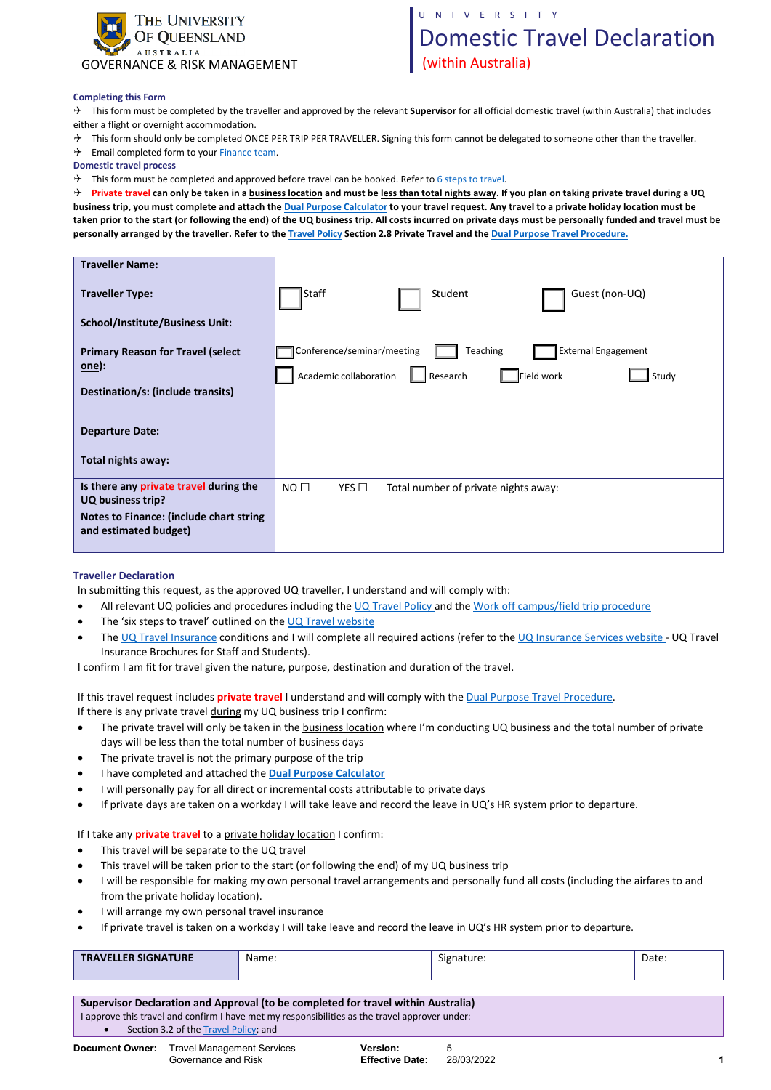

## UNIVERSITY

# Domestic Travel Declaration (within Australia)

#### **Completing this Form**

 This form must be completed by the traveller and approved by the relevant **Supervisor** for all official domestic travel (within Australia) that includes either a flight or overnight accommodation.

 $\rightarrow$  This form should only be completed ONCE PER TRIP PER TRAVELLER. Signing this form cannot be delegated to someone other than the traveller.

 $\rightarrow$  Email completed form to your [Finance team.](https://staff.uq.edu.au/information-and-services/finance/finance-support)

**Domestic travel process** 

 $\rightarrow$  This form must be completed and approved before travel can be booked. Refer to [6 steps to travel](https://travel.uq.edu.au/six-steps-travel/3-booking-travel).

 **Private travel can only be taken in a business location and must be less than total nights away. If you plan on taking private travel during a UQ business trip, you must complete and attach the Dual [Purpose Calculator](https://coo.uq.edu.au/files/25953/dual_purpose_travel_calculator.xlsx) to your travel request. Any travel to a private holiday location must be taken prior to the start (or following the end) of the UQ business trip. All costs incurred on private days must be personally funded and travel must be personally arranged by the traveller. Refer to the [Travel Policy](https://ppl.app.uq.edu.au/content/1.90.01-university-travel-management) Section 2.8 Private Travel and the Dual P[urpose Travel Procedure.](https://ppl.app.uq.edu.au/content/1.90.01-university-travel-management#Procedures)**

| <b>Traveller Name:</b>                                             |                                                                            |
|--------------------------------------------------------------------|----------------------------------------------------------------------------|
| <b>Traveller Type:</b>                                             | Staff<br>Guest (non-UQ)<br>Student                                         |
| <b>School/Institute/Business Unit:</b>                             |                                                                            |
| <b>Primary Reason for Travel (select</b><br><u>one</u> ):          | Conference/seminar/meeting<br><b>External Engagement</b><br>Teaching       |
|                                                                    | Academic collaboration<br>Field work<br>Research<br>Study                  |
| Destination/s: (include transits)                                  |                                                                            |
| <b>Departure Date:</b>                                             |                                                                            |
| Total nights away:                                                 |                                                                            |
| Is there any private travel during the<br><b>UQ business trip?</b> | NO <sub>1</sub><br>$YES$ $\square$<br>Total number of private nights away: |
| Notes to Finance: (include chart string<br>and estimated budget)   |                                                                            |

### **Traveller Declaration**

In submitting this request, as the approved UQ traveller, I understand and will comply with:

- All relevant UQ policies and procedures including the [UQ Travel Policy](https://ppl.app.uq.edu.au/content/1.90.01-university-travel-management#Policy) and the Work off [campus/field trip procedure](https://ppl.app.uq.edu.au/content/2.30.09-work-campus)
- The 'six steps to travel' outlined on the [UQ Travel website](https://travel.uq.edu.au/home)
- Th[e UQ Travel Insurance](https://governance-risk.uq.edu.au/functions-and-services/insurance/travel-insurance) conditions and I will complete all required actions (refer to the [UQ Insurance Services website](https://governance-risk.uq.edu.au/functions-and-services/insurance/travel-insurance) UQ Travel Insurance Brochures for Staff and Students).

I confirm I am fit for travel given the nature, purpose, destination and duration of the travel.

If this travel request includes **private travel** I understand and will comply with the [Dual Purpose Travel Procedure.](https://ppl.app.uq.edu.au/content/1.90.01-university-travel-management#Procedures) 

If there is any private travel during my UQ business trip I confirm:

- The private travel will only be taken in the **business location** where I'm conducting UQ business and the total number of private days will be less than the total number of business days
- The private travel is not the primary purpose of the trip
- I have completed and attached the **[Dual Purpose Calculator](https://travel.uq.edu.au/files/3659/dual_purpose_travel_calculator.xlsx)**
- I will personally pay for all direct or incremental costs attributable to private days
- If private days are taken on a workday I will take leave and record the leave in UQ's HR system prior to departure.

If I take any **private travel** to a private holiday location I confirm:

- This travel will be separate to the UQ travel
- This travel will be taken prior to the start (or following the end) of my UQ business trip
- I will be responsible for making my own personal travel arrangements and personally fund all costs (including the airfares to and from the private holiday location).
- I will arrange my own personal travel insurance

Governance and Risk

• If private travel is taken on a workday I will take leave and record the leave in UQ's HR system prior to departure.

|  | <b>TRAVELLER SIGNATURE</b> | Name: | $\sim$<br>Signature. | Date: |
|--|----------------------------|-------|----------------------|-------|
|--|----------------------------|-------|----------------------|-------|

| Supervisor Declaration and Approval (to be completed for travel within Australia) |                                                                                                |                 |  |  |  |
|-----------------------------------------------------------------------------------|------------------------------------------------------------------------------------------------|-----------------|--|--|--|
|                                                                                   | I approve this travel and confirm I have met my responsibilities as the travel approver under: |                 |  |  |  |
|                                                                                   | Section 3.2 of the Travel Policy; and                                                          |                 |  |  |  |
|                                                                                   | <b>Document Owner:</b> Travel Management Services                                              | <b>Version:</b> |  |  |  |